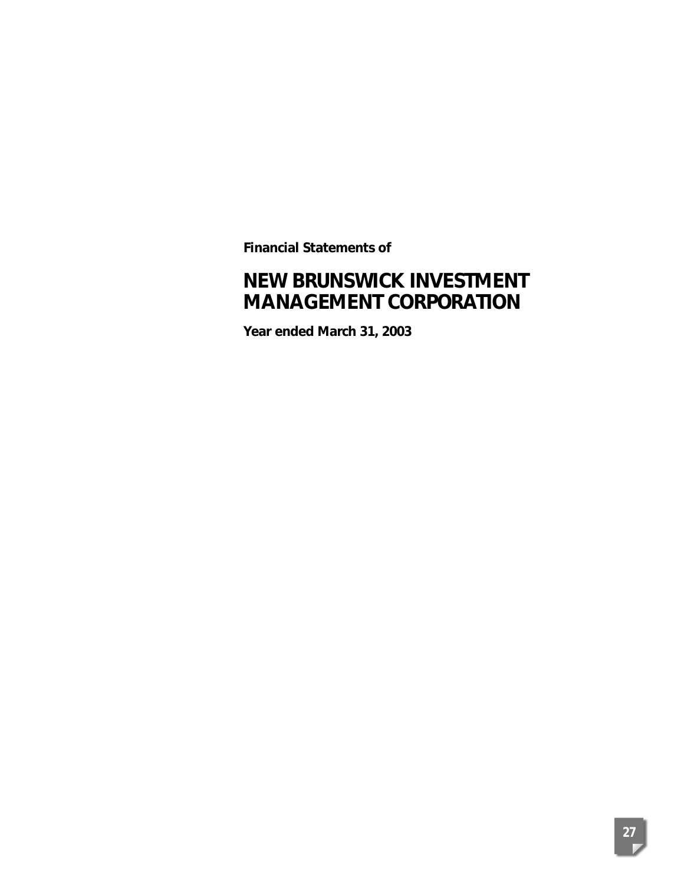**Financial Statements of**

# **NEW BRUNSWICK INVESTMENT MANAGEMENT CORPORATION**

**Year ended March 31, 2003**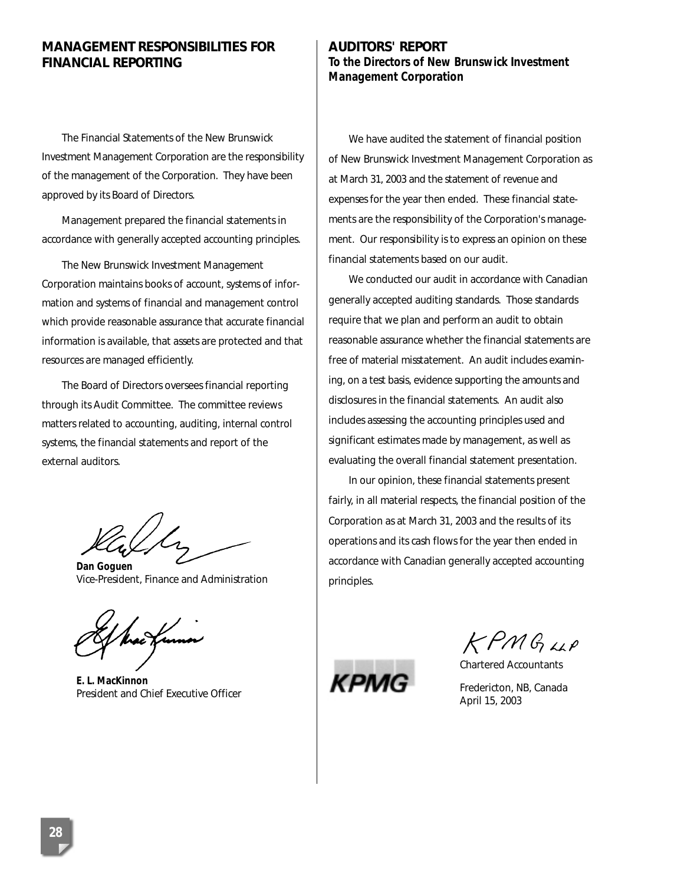# **MANAGEMENT RESPONSIBILITIES FOR FINANCIAL REPORTING**

The Financial Statements of the New Brunswick Investment Management Corporation are the responsibility of the management of the Corporation. They have been approved by its Board of Directors.

Management prepared the financial statements in accordance with generally accepted accounting principles.

The New Brunswick Investment Management Corporation maintains books of account, systems of information and systems of financial and management control which provide reasonable assurance that accurate financial information is available, that assets are protected and that resources are managed efficiently.

The Board of Directors oversees financial reporting through its Audit Committee. The committee reviews matters related to accounting, auditing, internal control systems, the financial statements and report of the external auditors.

*Dan Goguen* Vice-President, Finance and Administration

*E. L. MacKinnon* President and Chief Executive Officer

# **AUDITORS' REPORT To the Directors of New Brunswick Investment Management Corporation**

We have audited the statement of financial position of New Brunswick Investment Management Corporation as at March 31, 2003 and the statement of revenue and expenses for the year then ended. These financial statements are the responsibility of the Corporation's management. Our responsibility is to express an opinion on these financial statements based on our audit.

We conducted our audit in accordance with Canadian generally accepted auditing standards. Those standards require that we plan and perform an audit to obtain reasonable assurance whether the financial statements are free of material misstatement. An audit includes examining, on a test basis, evidence supporting the amounts and disclosures in the financial statements. An audit also includes assessing the accounting principles used and significant estimates made by management, as well as evaluating the overall financial statement presentation.

In our opinion, these financial statements present fairly, in all material respects, the financial position of the Corporation as at March 31, 2003 and the results of its operations and its cash flows for the year then ended in accordance with Canadian generally accepted accounting principles.



KPMG4P

Chartered Accountants

Fredericton, NB, Canada April 15, 2003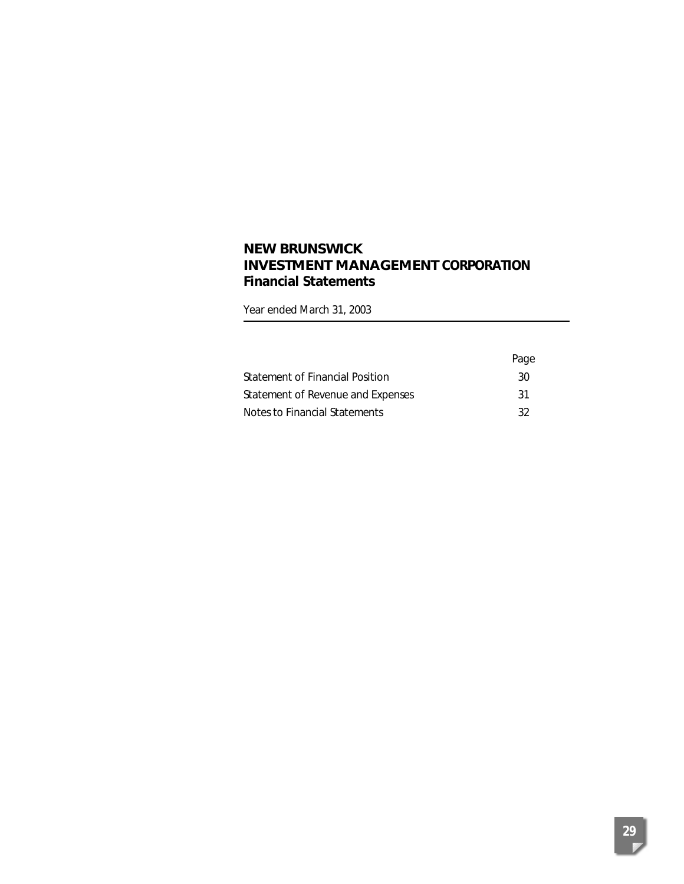# **NEW BRUNSWICK INVESTMENT MANAGEMENT CORPORATION Financial Statements**

Year ended March 31, 2003

|                                   | Page |
|-----------------------------------|------|
| Statement of Financial Position   | 30   |
| Statement of Revenue and Expenses | -31  |
| Notes to Financial Statements     | -32  |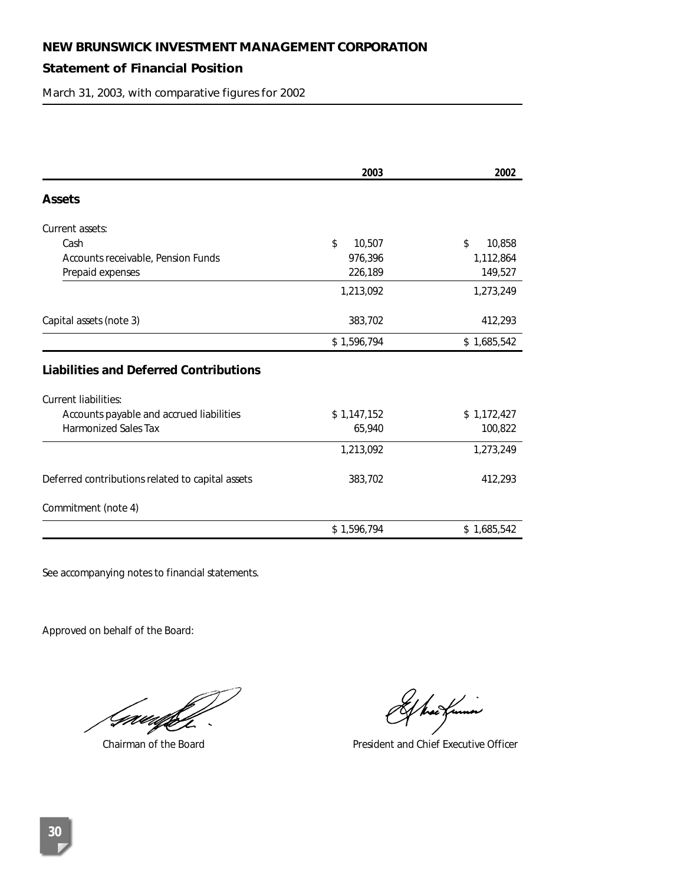# **Statement of Financial Position**

March 31, 2003, with comparative figures for 2002

|                                                  | 2003         | 2002         |
|--------------------------------------------------|--------------|--------------|
| <b>Assets</b>                                    |              |              |
| Current assets:                                  |              |              |
| Cash                                             | \$<br>10,507 | \$<br>10,858 |
| Accounts receivable, Pension Funds               | 976,396      | 1,112,864    |
| Prepaid expenses                                 | 226,189      | 149,527      |
|                                                  | 1,213,092    | 1,273,249    |
| Capital assets (note 3)                          | 383,702      | 412,293      |
|                                                  | \$1,596,794  | \$1,685,542  |
| <b>Liabilities and Deferred Contributions</b>    |              |              |
| <b>Current liabilities:</b>                      |              |              |
| Accounts payable and accrued liabilities         | \$1,147,152  | \$1,172,427  |
| <b>Harmonized Sales Tax</b>                      | 65,940       | 100,822      |
|                                                  | 1,213,092    | 1,273,249    |
| Deferred contributions related to capital assets | 383,702      | 412,293      |
| Commitment (note 4)                              |              |              |
|                                                  | \$1,596,794  | \$1,685,542  |

See accompanying notes to financial statements.

Approved on behalf of the Board:

(nuufill  $\sim$ 

f hackuma

Chairman of the Board **President and Chief Executive Officer** President and Chief Executive Officer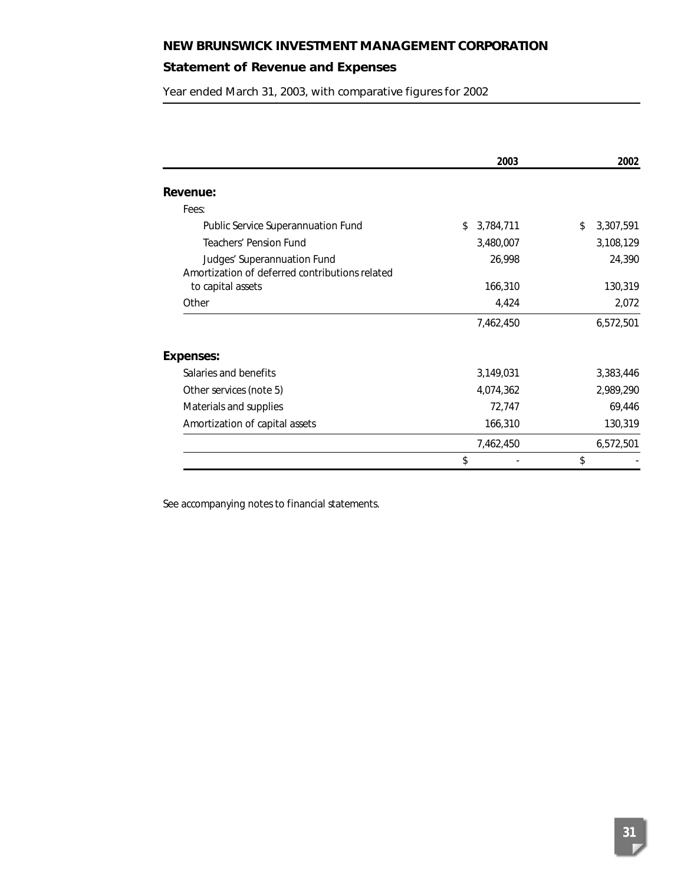# **Statement of Revenue and Expenses**

Year ended March 31, 2003, with comparative figures for 2002

|                                                | 2003            | 2002            |
|------------------------------------------------|-----------------|-----------------|
| Revenue:                                       |                 |                 |
| Fees:                                          |                 |                 |
| Public Service Superannuation Fund             | 3,784,711<br>\$ | 3,307,591<br>\$ |
| <b>Teachers' Pension Fund</b>                  | 3,480,007       | 3,108,129       |
| Judges' Superannuation Fund                    | 26,998          | 24,390          |
| Amortization of deferred contributions related |                 |                 |
| to capital assets                              | 166,310         | 130,319         |
| Other                                          | 4,424           | 2,072           |
|                                                | 7,462,450       | 6,572,501       |
| <b>Expenses:</b>                               |                 |                 |
| Salaries and benefits                          | 3,149,031       | 3,383,446       |
| Other services (note 5)                        | 4,074,362       | 2,989,290       |
| Materials and supplies                         | 72,747          | 69,446          |
| Amortization of capital assets                 | 166,310         | 130,319         |
|                                                | 7,462,450       | 6,572,501       |
|                                                | \$              | \$              |

See accompanying notes to financial statements.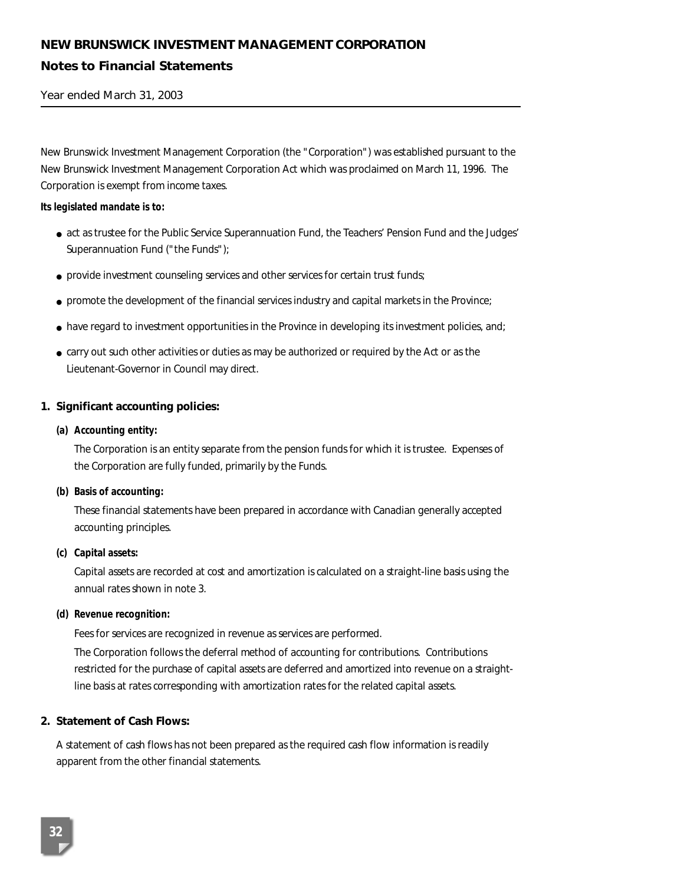# **NEW BRUNSWICK INVESTMENT MANAGEMENT CORPORATION Notes to Financial Statements**

Year ended March 31, 2003

New Brunswick Investment Management Corporation (the "Corporation") was established pursuant to the New Brunswick Investment Management Corporation Act which was proclaimed on March 11, 1996. The Corporation is exempt from income taxes.

#### **Its legislated mandate is to:**

- act as trustee for the Public Service Superannuation Fund, the Teachers' Pension Fund and the Judges' Superannuation Fund ("the Funds");
- provide investment counseling services and other services for certain trust funds;
- promote the development of the financial services industry and capital markets in the Province;
- have regard to investment opportunities in the Province in developing its investment policies, and;
- carry out such other activities or duties as may be authorized or required by the Act or as the Lieutenant-Governor in Council may direct.

### **1. Significant accounting policies:**

### *(a) Accounting entity:*

The Corporation is an entity separate from the pension funds for which it is trustee. Expenses of the Corporation are fully funded, primarily by the Funds.

#### *(b) Basis of accounting:*

These financial statements have been prepared in accordance with Canadian generally accepted accounting principles.

#### *(c) Capital assets:*

Capital assets are recorded at cost and amortization is calculated on a straight-line basis using the annual rates shown in note 3.

### *(d) Revenue recognition:*

Fees for services are recognized in revenue as services are performed.

The Corporation follows the deferral method of accounting for contributions. Contributions restricted for the purchase of capital assets are deferred and amortized into revenue on a straightline basis at rates corresponding with amortization rates for the related capital assets.

### **2. Statement of Cash Flows:**

A statement of cash flows has not been prepared as the required cash flow information is readily apparent from the other financial statements.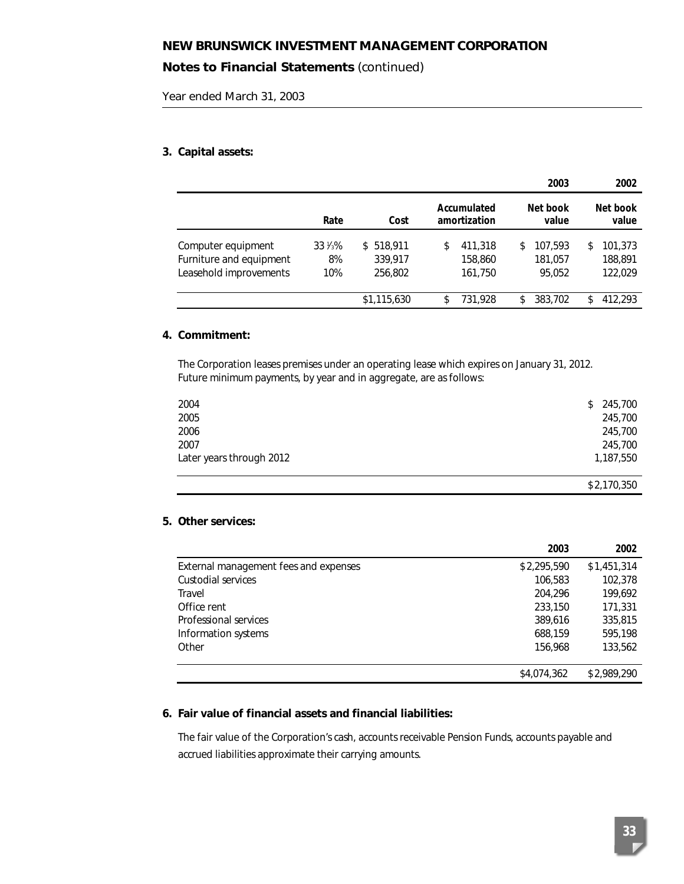# **Notes to Financial Statements** *(continued)*

Year ended March 31, 2003

### **3. Capital assets:**

|                                                                         |                                |                                 |                                     | 2003                               | 2002                                |
|-------------------------------------------------------------------------|--------------------------------|---------------------------------|-------------------------------------|------------------------------------|-------------------------------------|
|                                                                         | Rate                           | Cost                            | Accumulated<br>amortization         | Net book<br>value                  | Net book<br>value                   |
| Computer equipment<br>Furniture and equipment<br>Leasehold improvements | $33\frac{1}{3}\%$<br>8%<br>10% | \$518.911<br>339,917<br>256,802 | 411,318<br>\$<br>158,860<br>161,750 | 107,593<br>\$<br>181,057<br>95.052 | 101,373<br>\$<br>188,891<br>122,029 |
|                                                                         |                                | \$1,115,630                     | 731.928<br>\$                       | 383.702<br>\$                      | 412.293<br>\$                       |

### **4. Commitment:**

The Corporation leases premises under an operating lease which expires on January 31, 2012. Future minimum payments, by year and in aggregate, are as follows:

| 2004                     | 245,700<br>\$ |
|--------------------------|---------------|
| 2005                     | 245,700       |
| 2006                     | 245,700       |
| 2007                     | 245,700       |
| Later years through 2012 | 1,187,550     |
|                          | \$2,170,350   |

### **5. Other services:**

|                                       | 2003        | 2002        |
|---------------------------------------|-------------|-------------|
| External management fees and expenses | \$2,295,590 | \$1,451,314 |
| Custodial services                    | 106,583     | 102,378     |
| Travel                                | 204,296     | 199,692     |
| Office rent                           | 233,150     | 171,331     |
| Professional services                 | 389,616     | 335,815     |
| Information systems                   | 688,159     | 595,198     |
| Other                                 | 156,968     | 133,562     |
|                                       |             |             |
|                                       | \$4,074,362 | \$2,989,290 |

### **6. Fair value of financial assets and financial liabilities:**

The fair value of the Corporation's cash, accounts receivable Pension Funds, accounts payable and accrued liabilities approximate their carrying amounts.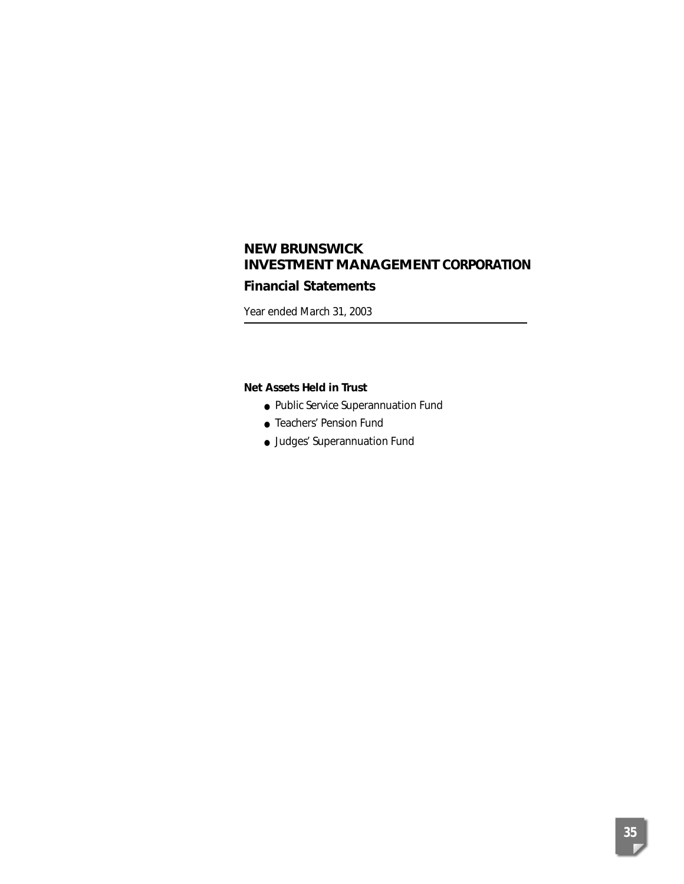# **Financial Statements**

Year ended March 31, 2003

### **Net Assets Held in Trust**

- Public Service Superannuation Fund
- Teachers' Pension Fund
- Judges' Superannuation Fund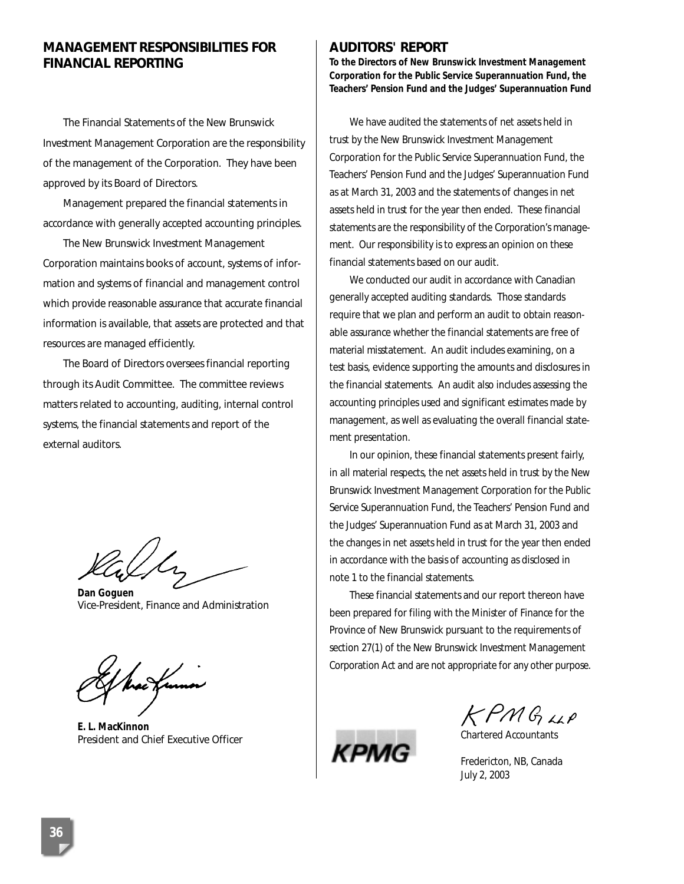# **MANAGEMENT RESPONSIBILITIES FOR FINANCIAL REPORTING**

The Financial Statements of the New Brunswick Investment Management Corporation are the responsibility of the management of the Corporation. They have been approved by its Board of Directors.

Management prepared the financial statements in accordance with generally accepted accounting principles.

The New Brunswick Investment Management Corporation maintains books of account, systems of information and systems of financial and management control which provide reasonable assurance that accurate financial information is available, that assets are protected and that resources are managed efficiently.

The Board of Directors oversees financial reporting through its Audit Committee. The committee reviews matters related to accounting, auditing, internal control systems, the financial statements and report of the external auditors.

*Dan Goguen* Vice-President, Finance and Administration

hac Kuno

*E. L. MacKinnon* President and Chief Executive Officer

#### **AUDITORS' REPORT**

**To the Directors of New Brunswick Investment Management Corporation for the Public Service Superannuation Fund, the Teachers' Pension Fund and the Judges' Superannuation Fund**

We have audited the statements of net assets held in trust by the New Brunswick Investment Management Corporation for the Public Service Superannuation Fund, the Teachers' Pension Fund and the Judges' Superannuation Fund as at March 31, 2003 and the statements of changes in net assets held in trust for the year then ended. These financial statements are the responsibility of the Corporation's management. Our responsibility is to express an opinion on these financial statements based on our audit.

We conducted our audit in accordance with Canadian generally accepted auditing standards. Those standards require that we plan and perform an audit to obtain reasonable assurance whether the financial statements are free of material misstatement. An audit includes examining, on a test basis, evidence supporting the amounts and disclosures in the financial statements. An audit also includes assessing the accounting principles used and significant estimates made by management, as well as evaluating the overall financial statement presentation.

In our opinion, these financial statements present fairly, in all material respects, the net assets held in trust by the New Brunswick Investment Management Corporation for the Public Service Superannuation Fund, the Teachers' Pension Fund and the Judges' Superannuation Fund as at March 31, 2003 and the changes in net assets held in trust for the year then ended in accordance with the basis of accounting as disclosed in note 1 to the financial statements.

These financial statements and our report thereon have been prepared for filing with the Minister of Finance for the Province of New Brunswick pursuant to the requirements of section 27(1) of the New Brunswick Investment Management Corporation Act and are not appropriate for any other purpose.



KPMGUP Chartered Accountants

Fredericton, NB, Canada July 2, 2003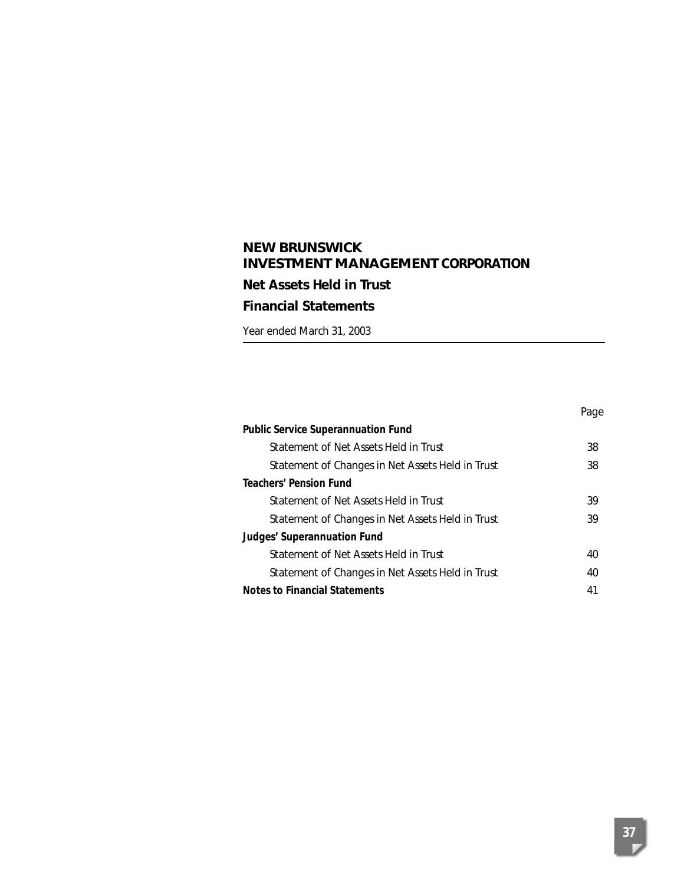# **NEW BRUNSWICK INVESTMENT MANAGEMENT CORPORATION Net Assets Held in Trust Financial Statements**

Year ended March 31, 2003

|                                                  | Page |
|--------------------------------------------------|------|
| <b>Public Service Superannuation Fund</b>        |      |
| Statement of Net Assets Held in Trust            | 38   |
| Statement of Changes in Net Assets Held in Trust | 38   |
| <b>Teachers' Pension Fund</b>                    |      |
| Statement of Net Assets Held in Trust            | 39   |
| Statement of Changes in Net Assets Held in Trust | 39   |
| Judges' Superannuation Fund                      |      |
| Statement of Net Assets Held in Trust            | 40   |
| Statement of Changes in Net Assets Held in Trust | 40   |
| <b>Notes to Financial Statements</b>             | 41   |
|                                                  |      |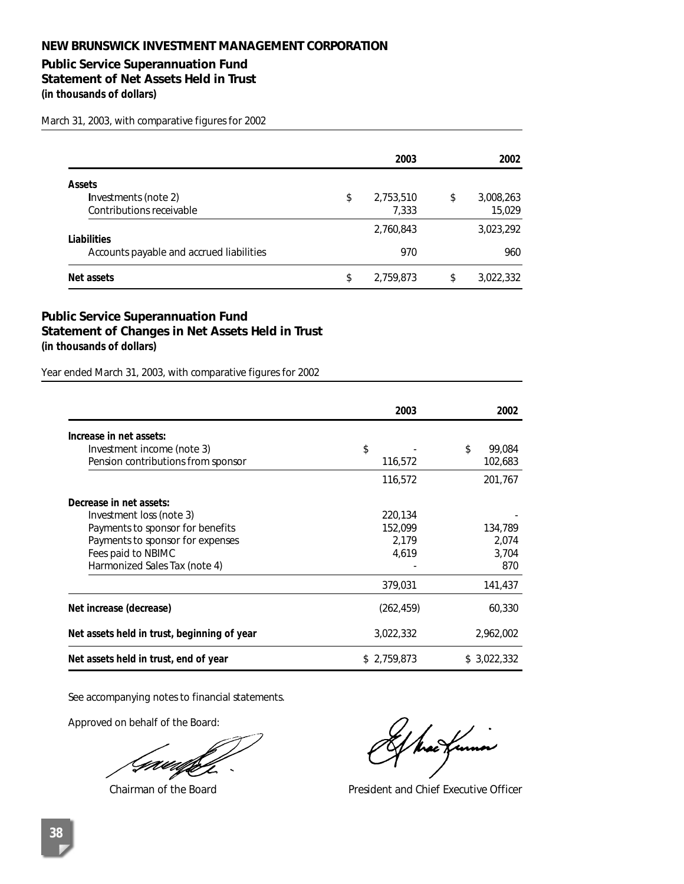# **Public Service Superannuation Fund**

**Statement of Net Assets Held in Trust** 

**(in thousands of dollars)** 

March 31, 2003, with comparative figures for 2002

|                                          | 2003            | 2002            |
|------------------------------------------|-----------------|-----------------|
| <b>Assets</b>                            |                 |                 |
| Investments (note 2)                     | \$<br>2,753,510 | \$<br>3,008,263 |
| Contributions receivable                 | 7.333           | 15,029          |
| Liabilities                              | 2,760,843       | 3,023,292       |
| Accounts payable and accrued liabilities | 970             | 960             |
| Net assets                               | \$<br>2,759,873 | \$<br>3,022,332 |

# **Public Service Superannuation Fund Statement of Changes in Net Assets Held in Trust (in thousands of dollars)**

Year ended March 31, 2003, with comparative figures for 2002

|                                             | 2003        | 2002         |
|---------------------------------------------|-------------|--------------|
| Increase in net assets:                     |             |              |
| Investment income (note 3)                  | \$          | \$<br>99.084 |
| Pension contributions from sponsor          | 116,572     | 102,683      |
|                                             | 116,572     | 201,767      |
| Decrease in net assets:                     |             |              |
| Investment loss (note 3)                    | 220,134     |              |
| Payments to sponsor for benefits            | 152,099     | 134,789      |
| Payments to sponsor for expenses            | 2.179       | 2,074        |
| Fees paid to NBIMC                          | 4.619       | 3,704        |
| Harmonized Sales Tax (note 4)               |             | 870          |
|                                             | 379,031     | 141,437      |
| Net increase (decrease)                     | (262, 459)  | 60,330       |
| Net assets held in trust, beginning of year | 3,022,332   | 2,962,002    |
| Net assets held in trust, end of year       | \$2,759,873 | \$3,022,332  |

See accompanying notes to financial statements.

Approved on behalf of the Board:

UU V

Chairman of the Board President and Chief Executive Officer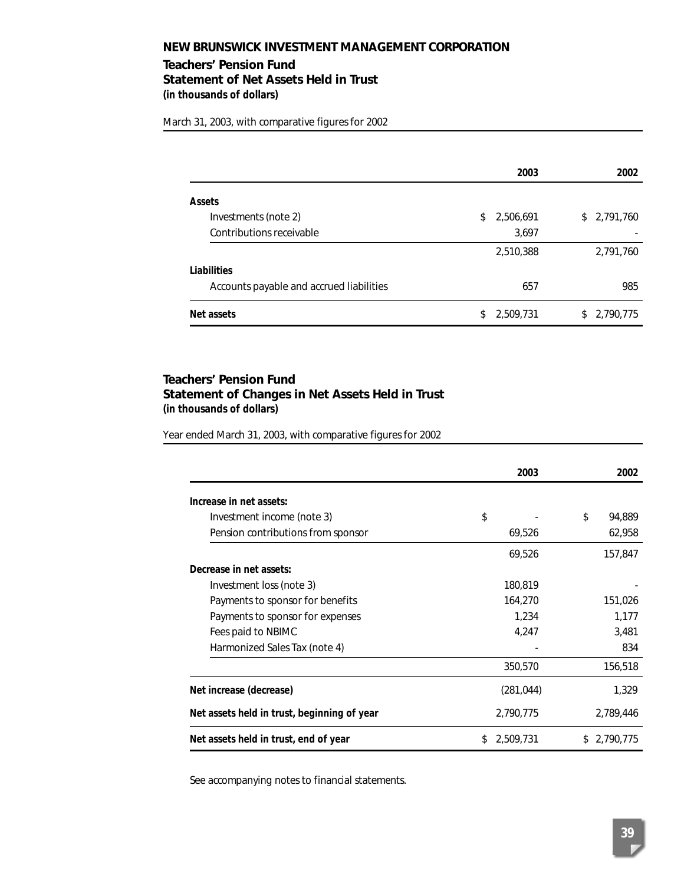# **Teachers' Pension Fund Statement of Net Assets Held in Trust (in thousands of dollars)**

March 31, 2003, with comparative figures for 2002

|                                          | 2003            | 2002            |
|------------------------------------------|-----------------|-----------------|
| <b>Assets</b>                            |                 |                 |
| Investments (note 2)                     | 2,506,691<br>\$ | \$2,791,760     |
| Contributions receivable                 | 3,697           |                 |
|                                          | 2,510,388       | 2,791,760       |
| Liabilities                              |                 |                 |
| Accounts payable and accrued liabilities | 657             | 985             |
| Net assets                               | 2,509,731<br>S. | 2,790,775<br>S. |

### **Teachers' Pension Fund Statement of Changes in Net Assets Held in Trust (in thousands of dollars)**

Year ended March 31, 2003, with comparative figures for 2002

|                                             | 2003           | 2002         |
|---------------------------------------------|----------------|--------------|
| Increase in net assets:                     |                |              |
| Investment income (note 3)                  | \$             | \$<br>94,889 |
| Pension contributions from sponsor          | 69,526         | 62,958       |
|                                             | 69,526         | 157,847      |
| Decrease in net assets:                     |                |              |
| Investment loss (note 3)                    | 180,819        |              |
| Payments to sponsor for benefits            | 164,270        | 151,026      |
| Payments to sponsor for expenses            | 1,234          | 1,177        |
| Fees paid to NBIMC                          | 4,247          | 3,481        |
| Harmonized Sales Tax (note 4)               |                | 834          |
|                                             | 350,570        | 156,518      |
| Net increase (decrease)                     | (281, 044)     | 1,329        |
| Net assets held in trust, beginning of year | 2,790,775      | 2,789,446    |
| Net assets held in trust, end of year       | 2,509,731<br>S | \$2,790,775  |

See accompanying notes to financial statements.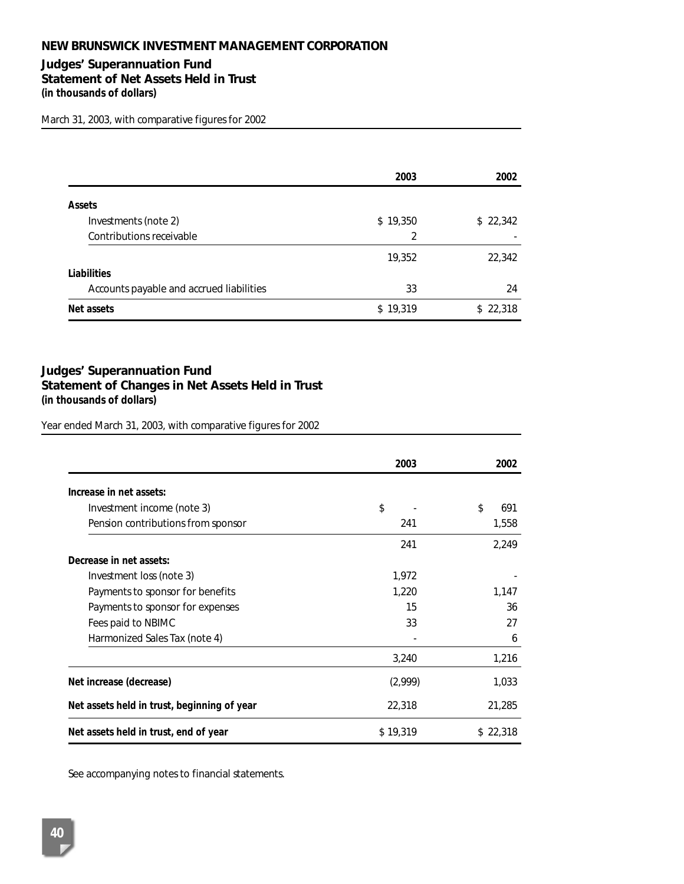### **Judges' Superannuation Fund Statement of Net Assets Held in Trust (in thousands of dollars)**

March 31, 2003, with comparative figures for 2002

|                                          | 2003     | 2002     |
|------------------------------------------|----------|----------|
| <b>Assets</b>                            |          |          |
| Investments (note 2)                     | \$19,350 | \$22,342 |
| Contributions receivable                 | 2        |          |
|                                          | 19,352   | 22,342   |
| Liabilities                              |          |          |
| Accounts payable and accrued liabilities | 33       | 24       |
| Net assets                               | \$19,319 | \$22,318 |

# **Judges' Superannuation Fund Statement of Changes in Net Assets Held in Trust (in thousands of dollars)**

Year ended March 31, 2003, with comparative figures for 2002

|                                             | 2003     | 2002      |
|---------------------------------------------|----------|-----------|
| Increase in net assets:                     |          |           |
| Investment income (note 3)                  | \$       | \$<br>691 |
| Pension contributions from sponsor          | 241      | 1,558     |
|                                             | 241      | 2,249     |
| Decrease in net assets:                     |          |           |
| Investment loss (note 3)                    | 1,972    |           |
| Payments to sponsor for benefits            | 1,220    | 1,147     |
| Payments to sponsor for expenses            | 15       | 36        |
| Fees paid to NBIMC                          | 33       | 27        |
| Harmonized Sales Tax (note 4)               |          | 6         |
|                                             | 3,240    | 1,216     |
| Net increase (decrease)                     | (2,999)  | 1,033     |
| Net assets held in trust, beginning of year | 22,318   | 21,285    |
| Net assets held in trust, end of year       | \$19,319 | \$22,318  |

See accompanying notes to financial statements.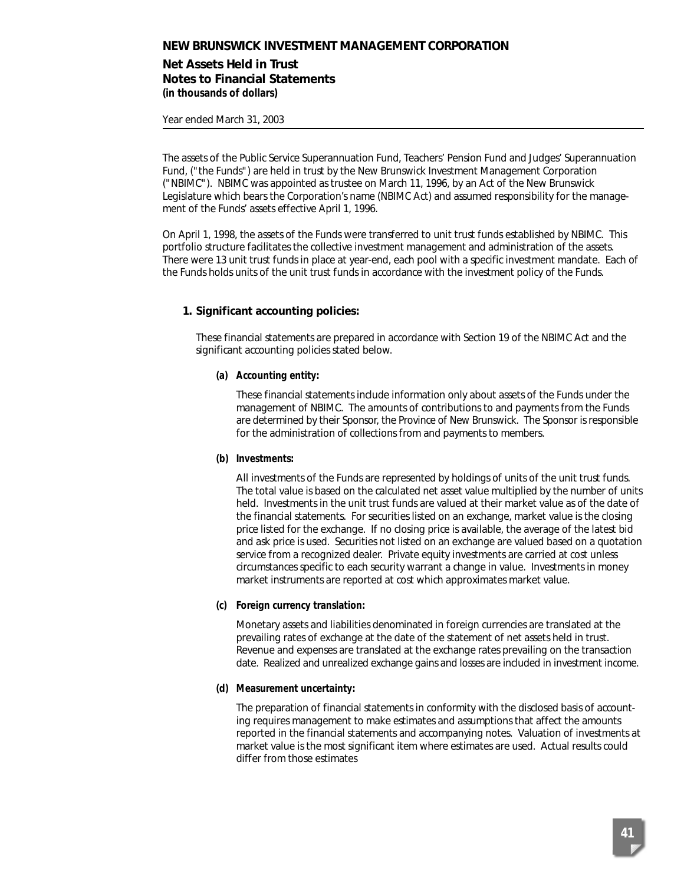### **Net Assets Held in Trust Notes to Financial Statements (in thousands of dollars)**

Year ended March 31, 2003

The assets of the Public Service Superannuation Fund, Teachers' Pension Fund and Judges' Superannuation Fund, ("the Funds") are held in trust by the New Brunswick Investment Management Corporation ("NBIMC"). NBIMC was appointed as trustee on March 11, 1996, by an Act of the New Brunswick Legislature which bears the Corporation's name (NBIMC Act) and assumed responsibility for the management of the Funds' assets effective April 1, 1996.

On April 1, 1998, the assets of the Funds were transferred to unit trust funds established by NBIMC. This portfolio structure facilitates the collective investment management and administration of the assets. There were 13 unit trust funds in place at year-end, each pool with a specific investment mandate. Each of the Funds holds units of the unit trust funds in accordance with the investment policy of the Funds.

## **1. Significant accounting policies:**

These financial statements are prepared in accordance with Section 19 of the NBIMC Act and the significant accounting policies stated below.

### **(a) Accounting entity:**

These financial statements include information only about assets of the Funds under the management of NBIMC. The amounts of contributions to and payments from the Funds are determined by their Sponsor, the Province of New Brunswick. The Sponsor is responsible for the administration of collections from and payments to members.

#### **(b) Investments:**

All investments of the Funds are represented by holdings of units of the unit trust funds. The total value is based on the calculated net asset value multiplied by the number of units held. Investments in the unit trust funds are valued at their market value as of the date of the financial statements. For securities listed on an exchange, market value is the closing price listed for the exchange. If no closing price is available, the average of the latest bid and ask price is used. Securities not listed on an exchange are valued based on a quotation service from a recognized dealer. Private equity investments are carried at cost unless circumstances specific to each security warrant a change in value. Investments in money market instruments are reported at cost which approximates market value.

#### **(c) Foreign currency translation:**

Monetary assets and liabilities denominated in foreign currencies are translated at the prevailing rates of exchange at the date of the statement of net assets held in trust. Revenue and expenses are translated at the exchange rates prevailing on the transaction date. Realized and unrealized exchange gains and losses are included in investment income.

#### **(d) Measurement uncertainty:**

The preparation of financial statements in conformity with the disclosed basis of accounting requires management to make estimates and assumptions that affect the amounts reported in the financial statements and accompanying notes. Valuation of investments at market value is the most significant item where estimates are used. Actual results could differ from those estimates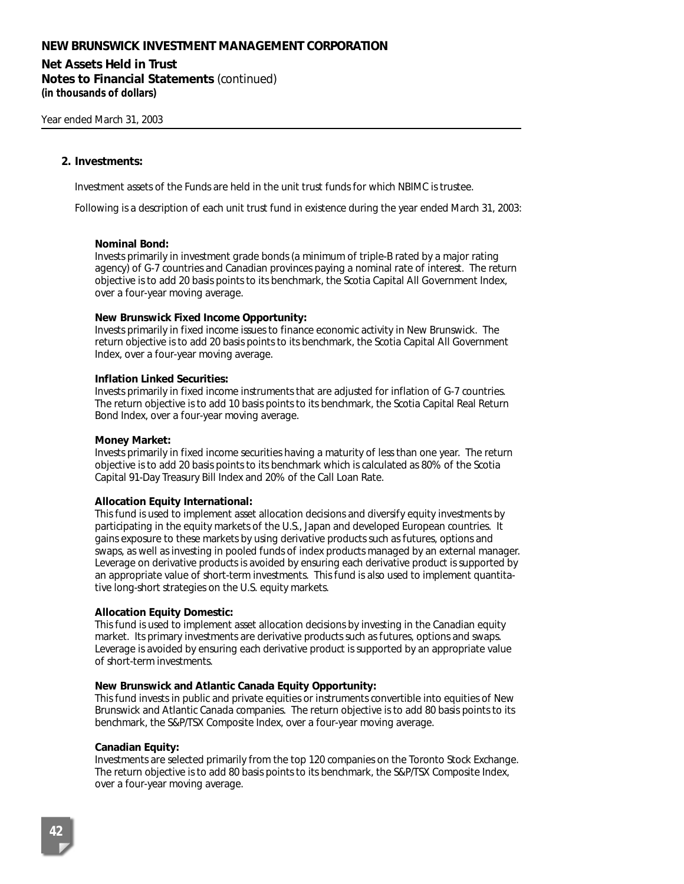# **Net Assets Held in Trust**

**Notes to Financial Statements** *(continued)* **(in thousands of dollars)**

#### **2. Investments:**

Investment assets of the Funds are held in the unit trust funds for which NBIMC is trustee.

Following is a description of each unit trust fund in existence during the year ended March 31, 2003:

#### **Nominal Bond:**

Invests primarily in investment grade bonds (a minimum of triple-B rated by a major rating agency) of G-7 countries and Canadian provinces paying a nominal rate of interest. The return objective is to add 20 basis points to its benchmark, the Scotia Capital All Government Index, over a four-year moving average.

#### **New Brunswick Fixed Income Opportunity:**

Invests primarily in fixed income issues to finance economic activity in New Brunswick. The return objective is to add 20 basis points to its benchmark, the Scotia Capital All Government Index, over a four-year moving average.

#### **Inflation Linked Securities:**

Invests primarily in fixed income instruments that are adjusted for inflation of G-7 countries. The return objective is to add 10 basis points to its benchmark, the Scotia Capital Real Return Bond Index, over a four-year moving average.

#### **Money Market:**

Invests primarily in fixed income securities having a maturity of less than one year. The return objective is to add 20 basis points to its benchmark which is calculated as 80% of the Scotia Capital 91-Day Treasury Bill Index and 20% of the Call Loan Rate.

#### **Allocation Equity International:**

This fund is used to implement asset allocation decisions and diversify equity investments by participating in the equity markets of the U.S., Japan and developed European countries. It gains exposure to these markets by using derivative products such as futures, options and swaps, as well as investing in pooled funds of index products managed by an external manager. Leverage on derivative products is avoided by ensuring each derivative product is supported by an appropriate value of short-term investments. This fund is also used to implement quantitative long-short strategies on the U.S. equity markets.

#### **Allocation Equity Domestic:**

This fund is used to implement asset allocation decisions by investing in the Canadian equity market. Its primary investments are derivative products such as futures, options and swaps. Leverage is avoided by ensuring each derivative product is supported by an appropriate value of short-term investments.

#### **New Brunswick and Atlantic Canada Equity Opportunity:**

This fund invests in public and private equities or instruments convertible into equities of New Brunswick and Atlantic Canada companies. The return objective is to add 80 basis points to its benchmark, the S&P/TSX Composite Index, over a four-year moving average.

#### **Canadian Equity:**

Investments are selected primarily from the top 120 companies on the Toronto Stock Exchange. The return objective is to add 80 basis points to its benchmark, the S&P/TSX Composite Index, over a four-year moving average.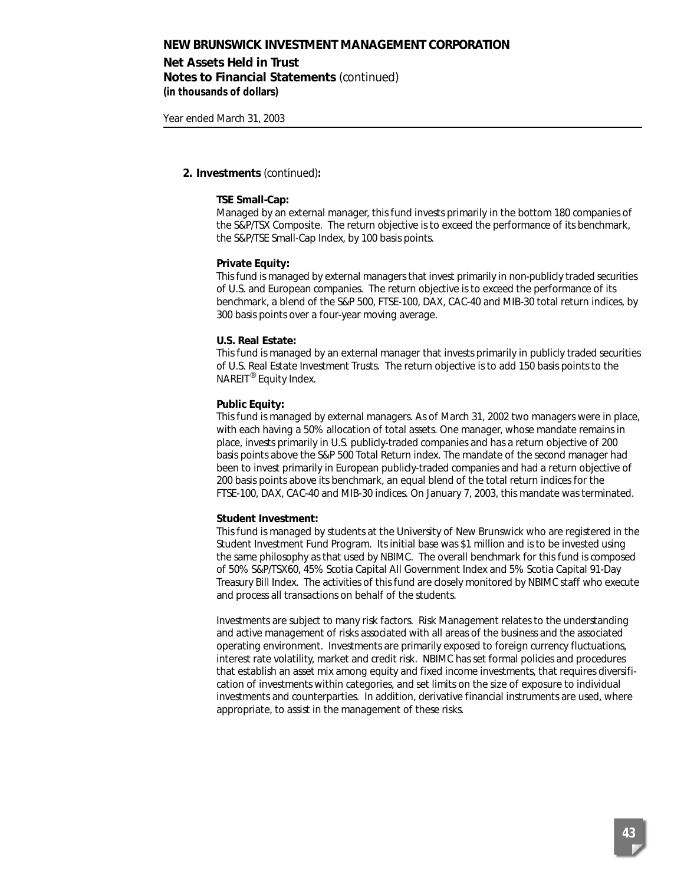### **Net Assets Held in Trust Notes to Financial Statements** *(continued)* **(in thousands of dollars)**

Year ended March 31, 2003

#### **2. Investments** *(continued)***:**

#### **TSE Small-Cap:**

Managed by an external manager, this fund invests primarily in the bottom 180 companies of the S&P/TSX Composite. The return objective is to exceed the performance of its benchmark, the S&P/TSE Small-Cap Index, by 100 basis points.

#### **Private Equity:**

This fund is managed by external managers that invest primarily in non-publicly traded securities of U.S. and European companies. The return objective is to exceed the performance of its benchmark, a blend of the S&P 500, FTSE-100, DAX, CAC-40 and MIB-30 total return indices, by 300 basis points over a four-year moving average.

#### **U.S. Real Estate:**

This fund is managed by an external manager that invests primarily in publicly traded securities of U.S. Real Estate Investment Trusts. The return objective is to add 150 basis points to the NAREIT® Equity Index.

#### **Public Equity:**

This fund is managed by external managers. As of March 31, 2002 two managers were in place, with each having a 50% allocation of total assets. One manager, whose mandate remains in place, invests primarily in U.S. publicly-traded companies and has a return objective of 200 basis points above the S&P 500 Total Return index. The mandate of the second manager had been to invest primarily in European publicly-traded companies and had a return objective of 200 basis points above its benchmark, an equal blend of the total return indices for the FTSE-100, DAX, CAC-40 and MIB-30 indices. On January 7, 2003, this mandate was terminated.

#### **Student Investment:**

This fund is managed by students at the University of New Brunswick who are registered in the Student Investment Fund Program. Its initial base was \$1 million and is to be invested using the same philosophy as that used by NBIMC. The overall benchmark for this fund is composed of 50% S&P/TSX60, 45% Scotia Capital All Government Index and 5% Scotia Capital 91-Day Treasury Bill Index. The activities of this fund are closely monitored by NBIMC staff who execute and process all transactions on behalf of the students.

Investments are subject to many risk factors. Risk Management relates to the understanding and active management of risks associated with all areas of the business and the associated operating environment. Investments are primarily exposed to foreign currency fluctuations, interest rate volatility, market and credit risk. NBIMC has set formal policies and procedures that establish an asset mix among equity and fixed income investments, that requires diversification of investments within categories, and set limits on the size of exposure to individual investments and counterparties. In addition, derivative financial instruments are used, where appropriate, to assist in the management of these risks.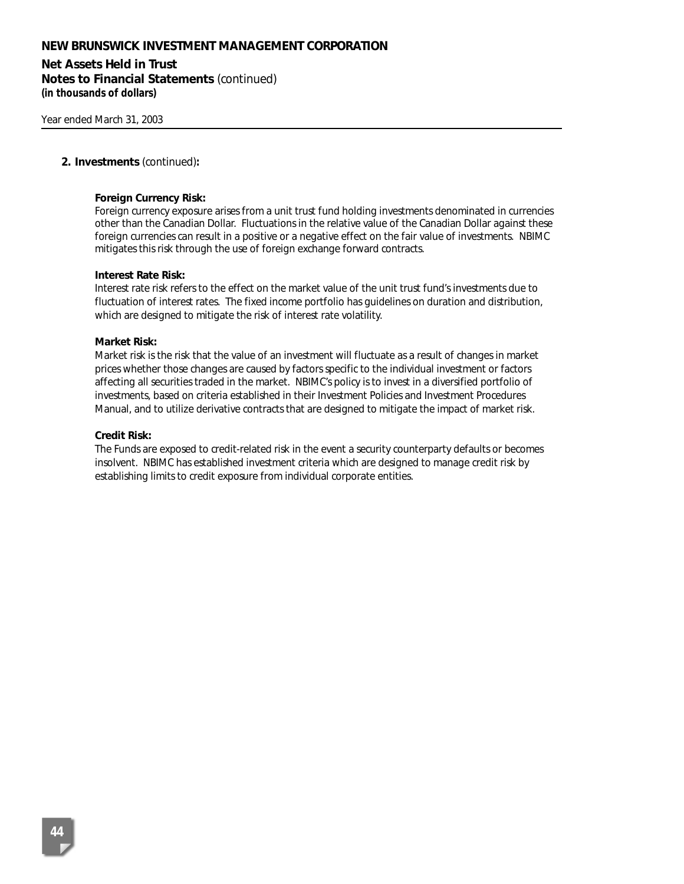**Net Assets Held in Trust Notes to Financial Statements** *(continued)* **(in thousands of dollars)**

#### **2. Investments** *(continued)***:**

#### **Foreign Currency Risk:**

Foreign currency exposure arises from a unit trust fund holding investments denominated in currencies other than the Canadian Dollar. Fluctuations in the relative value of the Canadian Dollar against these foreign currencies can result in a positive or a negative effect on the fair value of investments. NBIMC mitigates this risk through the use of foreign exchange forward contracts.

#### **Interest Rate Risk:**

Interest rate risk refers to the effect on the market value of the unit trust fund's investments due to fluctuation of interest rates. The fixed income portfolio has guidelines on duration and distribution, which are designed to mitigate the risk of interest rate volatility.

#### **Market Risk:**

Market risk is the risk that the value of an investment will fluctuate as a result of changes in market prices whether those changes are caused by factors specific to the individual investment or factors affecting all securities traded in the market. NBIMC's policy is to invest in a diversified portfolio of investments, based on criteria established in their Investment Policies and Investment Procedures Manual, and to utilize derivative contracts that are designed to mitigate the impact of market risk.

#### **Credit Risk:**

The Funds are exposed to credit-related risk in the event a security counterparty defaults or becomes insolvent. NBIMC has established investment criteria which are designed to manage credit risk by establishing limits to credit exposure from individual corporate entities.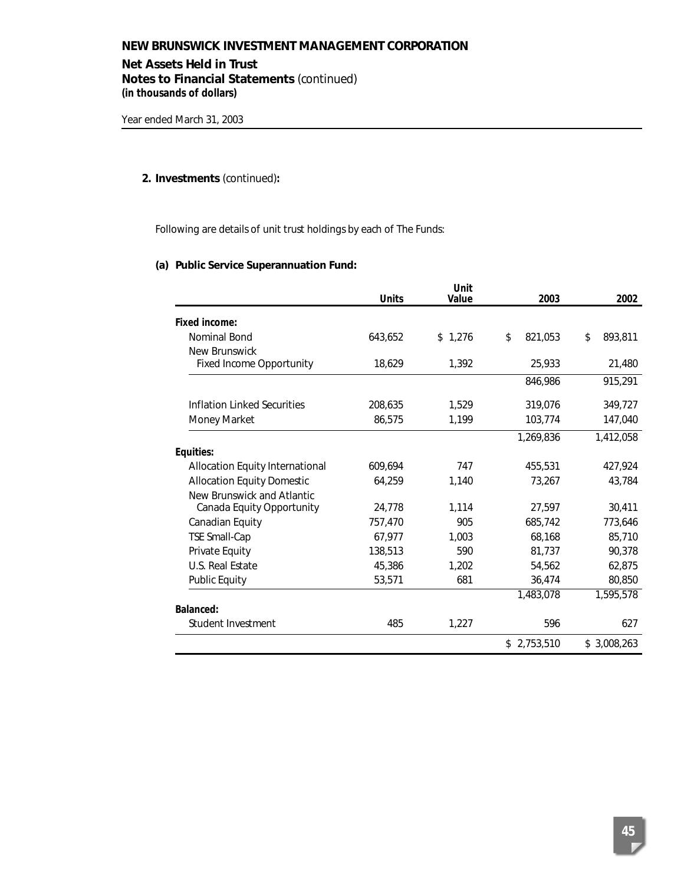### **Net Assets Held in Trust**

**Notes to Financial Statements** *(continued)* **(in thousands of dollars)**

# **2. Investments** *(continued)***:**

Following are details of unit trust holdings by each of The Funds:

### **(a) Public Service Superannuation Fund:**

|                                        | <b>Units</b> | Unit<br>Value | 2003          | 2002          |
|----------------------------------------|--------------|---------------|---------------|---------------|
| Fixed income:                          |              |               |               |               |
| Nominal Bond                           | 643,652      | \$1,276       | \$<br>821,053 | \$<br>893,811 |
| New Brunswick                          |              |               |               |               |
| <b>Fixed Income Opportunity</b>        | 18,629       | 1,392         | 25,933        | 21,480        |
|                                        |              |               | 846,986       | 915,291       |
| Inflation Linked Securities            | 208,635      | 1,529         | 319,076       | 349,727       |
| Money Market                           | 86,575       | 1,199         | 103,774       | 147,040       |
|                                        |              |               | 1.269.836     | 1,412,058     |
| Equities:                              |              |               |               |               |
| <b>Allocation Equity International</b> | 609,694      | 747           | 455,531       | 427,924       |
| <b>Allocation Equity Domestic</b>      | 64,259       | 1,140         | 73,267        | 43.784        |
| New Brunswick and Atlantic             |              |               |               |               |
| Canada Equity Opportunity              | 24,778       | 1.114         | 27.597        | 30,411        |
| Canadian Equity                        | 757,470      | 905           | 685.742       | 773,646       |
| <b>TSE Small-Cap</b>                   | 67,977       | 1,003         | 68,168        | 85,710        |
| Private Equity                         | 138,513      | 590           | 81,737        | 90,378        |
| U.S. Real Estate                       | 45,386       | 1,202         | 54,562        | 62,875        |
| <b>Public Equity</b>                   | 53,571       | 681           | 36,474        | 80,850        |
|                                        |              |               | 1,483,078     | 1,595,578     |
| Balanced:                              |              |               |               |               |
| Student Investment                     | 485          | 1,227         | 596           | 627           |
|                                        |              |               | \$2,753,510   | \$3,008,263   |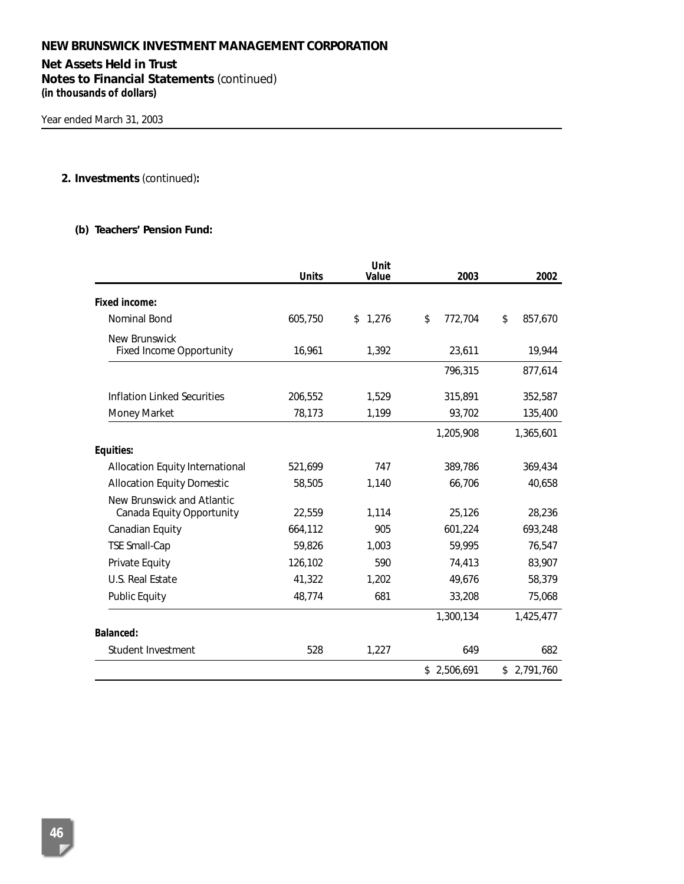# **Net Assets Held in Trust**

**Notes to Financial Statements** *(continued)* **(in thousands of dollars)**

# **2. Investments** *(continued)***:**

#### **(b) Teachers' Pension Fund:**

|                                                         | <b>Units</b> | Unit<br>Value | 2003          | 2002          |
|---------------------------------------------------------|--------------|---------------|---------------|---------------|
| <b>Fixed income:</b>                                    |              |               |               |               |
| Nominal Bond                                            | 605,750      | 1,276<br>\$   | \$<br>772,704 | \$<br>857,670 |
| New Brunswick<br><b>Fixed Income Opportunity</b>        | 16,961       | 1,392         | 23,611        | 19,944        |
|                                                         |              |               | 796,315       | 877,614       |
| <b>Inflation Linked Securities</b>                      | 206,552      | 1,529         | 315,891       | 352,587       |
| Money Market                                            | 78,173       | 1,199         | 93,702        | 135,400       |
|                                                         |              |               | 1,205,908     | 1,365,601     |
| Equities:                                               |              |               |               |               |
| Allocation Equity International                         | 521,699      | 747           | 389.786       | 369,434       |
| <b>Allocation Equity Domestic</b>                       | 58,505       | 1,140         | 66,706        | 40,658        |
| New Brunswick and Atlantic<br>Canada Equity Opportunity | 22,559       | 1,114         | 25,126        | 28,236        |
| Canadian Equity                                         | 664,112      | 905           | 601,224       | 693,248       |
| <b>TSE Small-Cap</b>                                    | 59,826       | 1,003         | 59,995        | 76,547        |
| Private Equity                                          | 126,102      | 590           | 74,413        | 83,907        |
| U.S. Real Estate                                        | 41,322       | 1,202         | 49,676        | 58,379        |
| <b>Public Equity</b>                                    | 48,774       | 681           | 33,208        | 75,068        |
|                                                         |              |               | 1,300,134     | 1,425,477     |
| <b>Balanced:</b>                                        |              |               |               |               |
| Student Investment                                      | 528          | 1,227         | 649           | 682           |
|                                                         |              |               | \$2,506,691   | \$2,791,760   |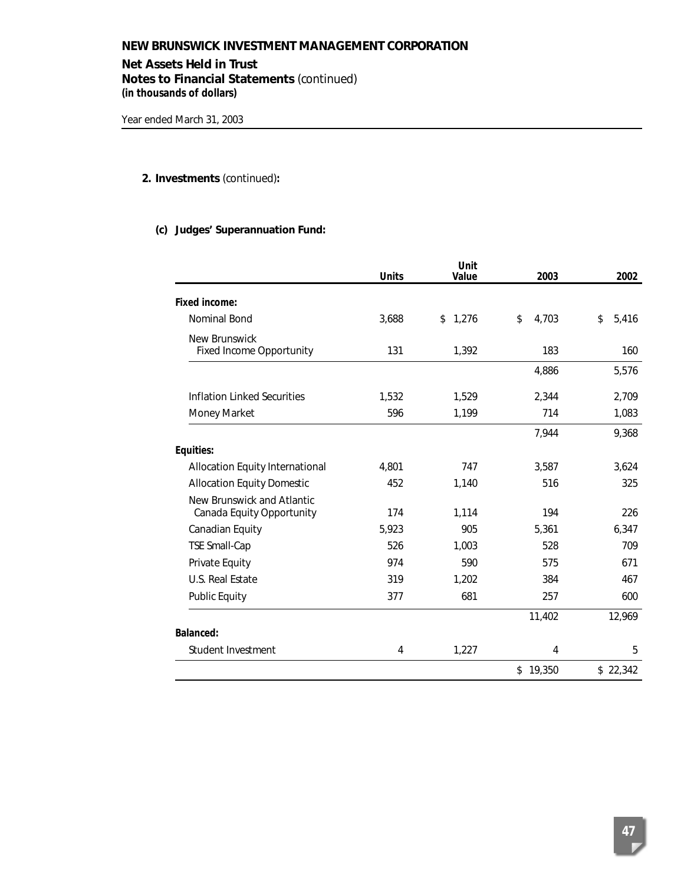### **Net Assets Held in Trust**

**Notes to Financial Statements** *(continued)* **(in thousands of dollars)**

# **2. Investments** *(continued)***:**

### **(c) Judges' Superannuation Fund:**

|                                                         | <b>Units</b> | Unit<br>Value | 2003        | 2002        |
|---------------------------------------------------------|--------------|---------------|-------------|-------------|
| Fixed income:                                           |              |               |             |             |
| Nominal Bond                                            | 3,688        | 1,276<br>\$   | \$<br>4,703 | \$<br>5,416 |
| New Brunswick<br><b>Fixed Income Opportunity</b>        | 131          | 1,392         | 183         | 160         |
|                                                         |              |               | 4,886       | 5,576       |
| Inflation Linked Securities                             | 1,532        | 1,529         | 2,344       | 2,709       |
| Money Market                                            | 596          | 1,199         | 714         | 1,083       |
|                                                         |              |               | 7,944       | 9,368       |
| Equities:                                               |              |               |             |             |
| Allocation Equity International                         | 4,801        | 747           | 3,587       | 3,624       |
| <b>Allocation Equity Domestic</b>                       | 452          | 1,140         | 516         | 325         |
| New Brunswick and Atlantic<br>Canada Equity Opportunity | 174          | 1,114         | 194         | 226         |
| Canadian Equity                                         | 5,923        | 905           | 5,361       | 6,347       |
| <b>TSE Small-Cap</b>                                    | 526          | 1,003         | 528         | 709         |
| Private Equity                                          | 974          | 590           | 575         | 671         |
| U.S. Real Estate                                        | 319          | 1,202         | 384         | 467         |
| <b>Public Equity</b>                                    | 377          | 681           | 257         | 600         |
|                                                         |              |               | 11,402      | 12,969      |
| <b>Balanced:</b>                                        |              |               |             |             |
| Student Investment                                      | 4            | 1,227         | 4           | 5           |
|                                                         |              |               | \$19,350    | \$22,342    |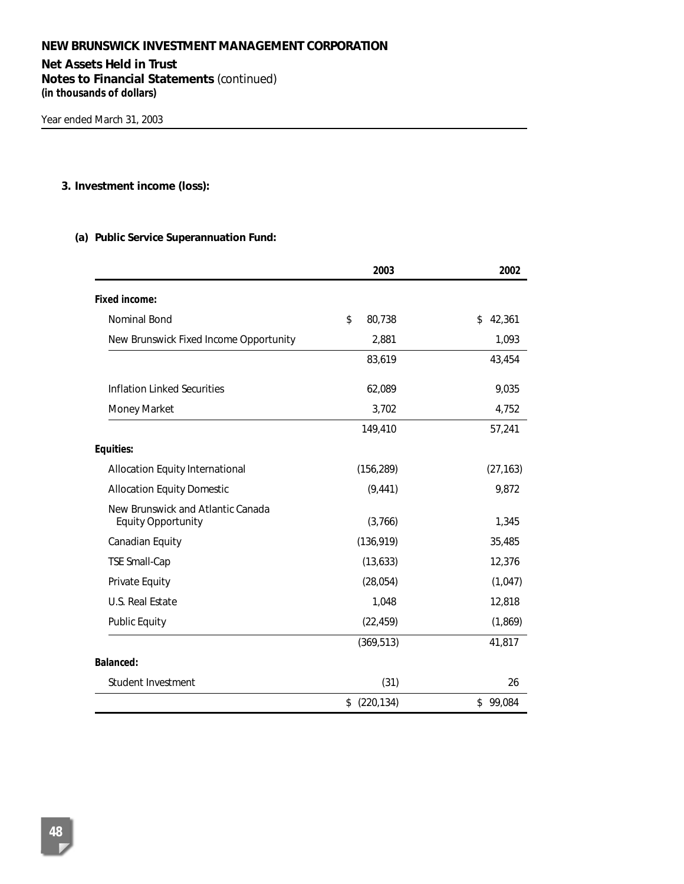# **Net Assets Held in Trust**

**Notes to Financial Statements** *(continued)* **(in thousands of dollars)**

### **3. Investment income (loss):**

### **(a) Public Service Superannuation Fund:**

|                                                                | 2003             | 2002         |
|----------------------------------------------------------------|------------------|--------------|
| Fixed income:                                                  |                  |              |
| Nominal Bond                                                   | \$<br>80,738     | 42,361<br>\$ |
| New Brunswick Fixed Income Opportunity                         | 2,881            | 1,093        |
|                                                                | 83,619           | 43,454       |
| Inflation Linked Securities                                    | 62,089           | 9,035        |
| Money Market                                                   | 3,702            | 4,752        |
|                                                                | 149,410          | 57,241       |
| Equities:                                                      |                  |              |
| Allocation Equity International                                | (156, 289)       | (27, 163)    |
| <b>Allocation Equity Domestic</b>                              | (9, 441)         | 9,872        |
| New Brunswick and Atlantic Canada<br><b>Equity Opportunity</b> | (3,766)          | 1,345        |
| Canadian Equity                                                | (136, 919)       | 35,485       |
| <b>TSE Small-Cap</b>                                           | (13, 633)        | 12,376       |
| Private Equity                                                 | (28,054)         | (1,047)      |
| U.S. Real Estate                                               | 1,048            | 12,818       |
| <b>Public Equity</b>                                           | (22, 459)        | (1, 869)     |
|                                                                | (369, 513)       | 41,817       |
| <b>Balanced:</b>                                               |                  |              |
| Student Investment                                             | (31)             | 26           |
|                                                                | (220, 134)<br>\$ | \$99,084     |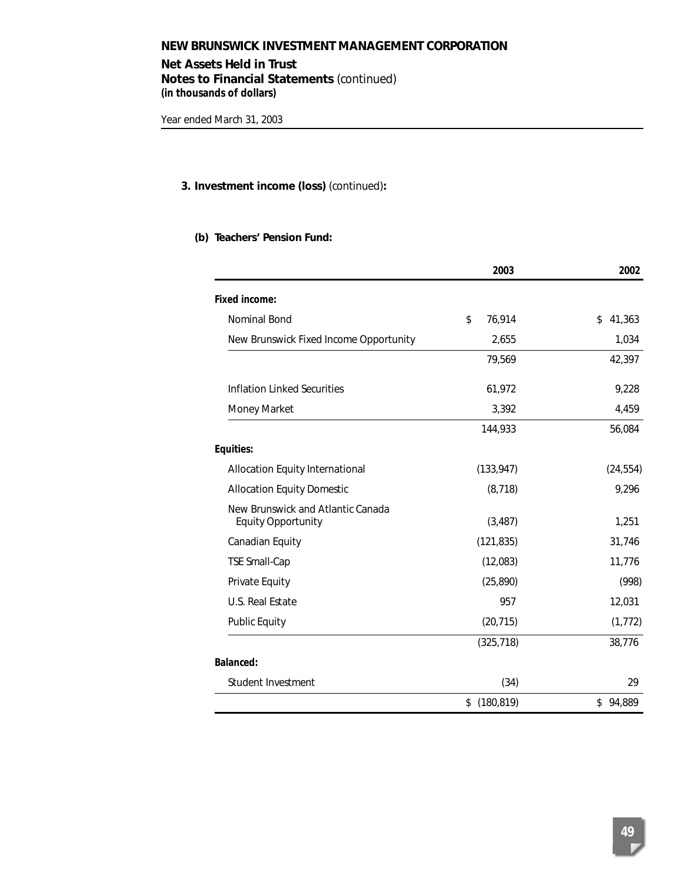**Net Assets Held in Trust Notes to Financial Statements** *(continued)* **(in thousands of dollars)**

### **3. Investment income (loss)** *(continued)***:**

### **(b) Teachers' Pension Fund:**

|                                                                | 2003             | 2002         |
|----------------------------------------------------------------|------------------|--------------|
| <b>Fixed income:</b>                                           |                  |              |
| Nominal Bond                                                   | \$<br>76,914     | 41,363<br>\$ |
| New Brunswick Fixed Income Opportunity                         | 2,655            | 1,034        |
|                                                                | 79,569           | 42,397       |
| <b>Inflation Linked Securities</b>                             | 61,972           | 9,228        |
| Money Market                                                   | 3,392            | 4,459        |
|                                                                | 144,933          | 56,084       |
| Equities:                                                      |                  |              |
| Allocation Equity International                                | (133, 947)       | (24, 554)    |
| <b>Allocation Equity Domestic</b>                              | (8, 718)         | 9,296        |
| New Brunswick and Atlantic Canada<br><b>Equity Opportunity</b> | (3, 487)         | 1,251        |
| Canadian Equity                                                | (121, 835)       | 31,746       |
| <b>TSE Small-Cap</b>                                           | (12,083)         | 11,776       |
| Private Equity                                                 | (25, 890)        | (998)        |
| U.S. Real Estate                                               | 957              | 12,031       |
| <b>Public Equity</b>                                           | (20, 715)        | (1, 772)     |
|                                                                | (325, 718)       | 38,776       |
| <b>Balanced:</b>                                               |                  |              |
| Student Investment                                             | (34)             | 29           |
|                                                                | (180, 819)<br>\$ | \$94,889     |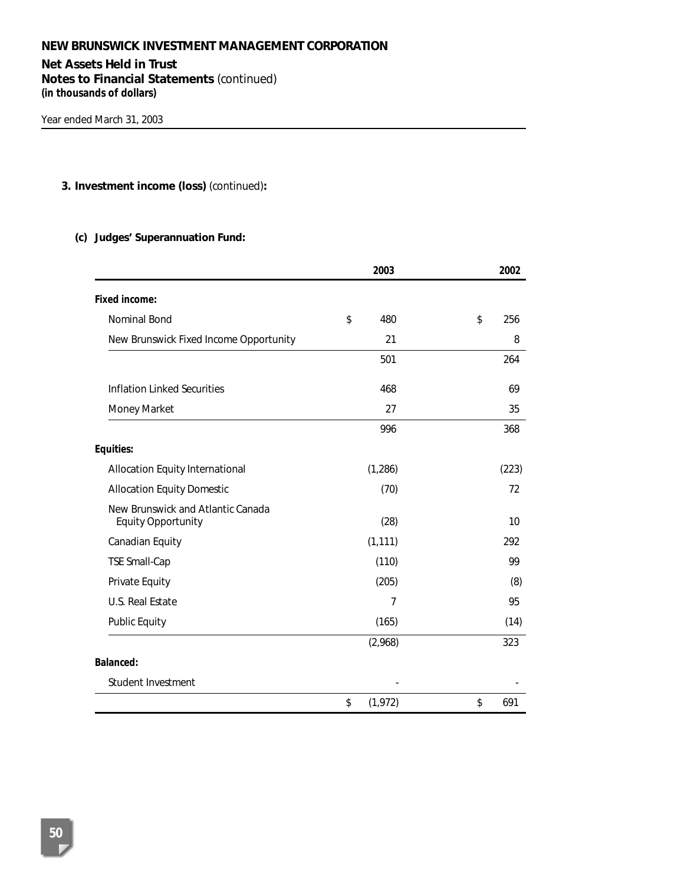# **Net Assets Held in Trust**

**Notes to Financial Statements** *(continued)* **(in thousands of dollars)**

### **3. Investment income (loss)** *(continued)***:**

### **(c) Judges' Superannuation Fund:**

|                                                                | 2003           | 2002      |
|----------------------------------------------------------------|----------------|-----------|
| Fixed income:                                                  |                |           |
| Nominal Bond                                                   | \$<br>480      | \$<br>256 |
| New Brunswick Fixed Income Opportunity                         | 21             | 8         |
|                                                                | 501            | 264       |
| Inflation Linked Securities                                    | 468            | 69        |
| Money Market                                                   | 27             | 35        |
|                                                                | 996            | 368       |
| Equities:                                                      |                |           |
| Allocation Equity International                                | (1, 286)       | (223)     |
| <b>Allocation Equity Domestic</b>                              | (70)           | 72        |
| New Brunswick and Atlantic Canada<br><b>Equity Opportunity</b> | (28)           | 10        |
| Canadian Equity                                                | (1, 111)       | 292       |
| <b>TSE Small-Cap</b>                                           | (110)          | 99        |
| Private Equity                                                 | (205)          | (8)       |
| U.S. Real Estate                                               | 7              | 95        |
| <b>Public Equity</b>                                           | (165)          | (14)      |
|                                                                | (2,968)        | 323       |
| <b>Balanced:</b>                                               |                |           |
| Student Investment                                             |                |           |
|                                                                | \$<br>(1, 972) | \$<br>691 |